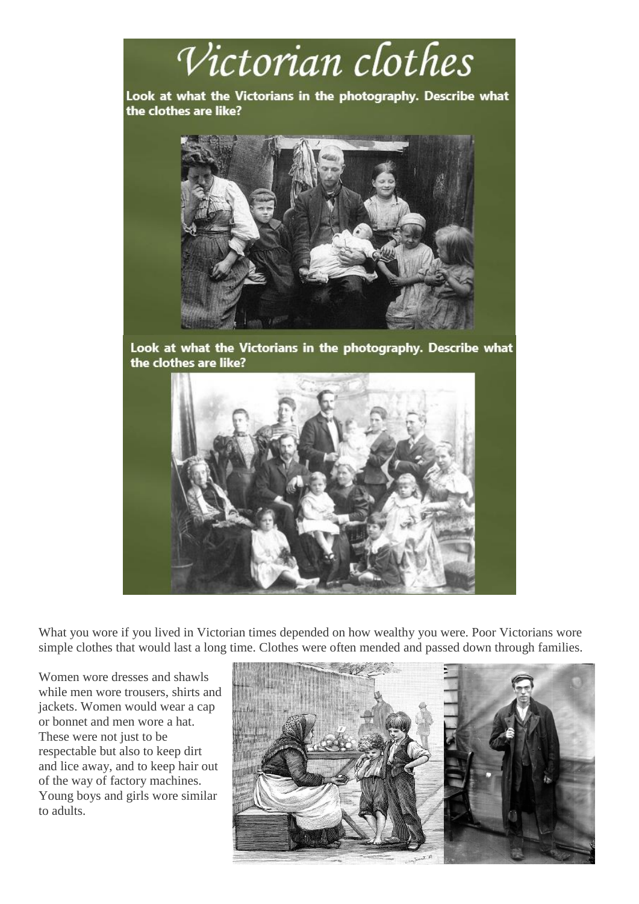

What you wore if you lived in Victorian times depended on how wealthy you were. Poor Victorians wore simple clothes that would last a long time. Clothes were often mended and passed down through families.

Women wore dresses and shawls while men wore trousers, shirts and jackets. Women would wear a cap or bonnet and men wore a hat. These were not just to be respectable but also to keep dirt and lice away, and to keep hair out of the way of factory machines. Young boys and girls wore similar to adults.